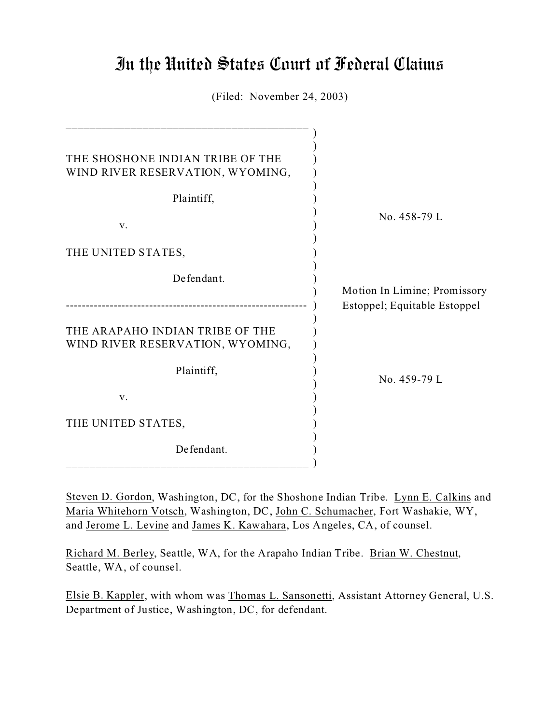# In the United States Court of Federal Claims

(Filed: November 24, 2003)

| THE SHOSHONE INDIAN TRIBE OF THE<br>WIND RIVER RESERVATION, WYOMING,<br>Plaintiff,<br>V. | No. 458-79 L                                                 |
|------------------------------------------------------------------------------------------|--------------------------------------------------------------|
| THE UNITED STATES,                                                                       |                                                              |
| Defendant.                                                                               | Motion In Limine; Promissory<br>Estoppel; Equitable Estoppel |
| THE ARAPAHO INDIAN TRIBE OF THE<br>WIND RIVER RESERVATION, WYOMING,                      |                                                              |
| Plaintiff,                                                                               | No. 459-79 L                                                 |
| V.                                                                                       |                                                              |
| THE UNITED STATES,                                                                       |                                                              |
| Defendant.                                                                               |                                                              |

Steven D. Gordon, Washington, DC, for the Shoshone Indian Tribe. Lynn E. Calkins and Maria Whitehorn Votsch, Washington, DC, John C. Schumacher, Fort Washakie, WY, and Jerome L. Levine and James K. Kawahara, Los Angeles, CA, of counsel.

Richard M. Berley, Seattle, WA, for the Arapaho Indian Tribe. Brian W. Chestnut, Seattle, WA, of counsel.

Elsie B. Kappler, with whom was Thomas L. Sansonetti, Assistant Attorney General, U.S. Department of Justice, Washington, DC, for defendant.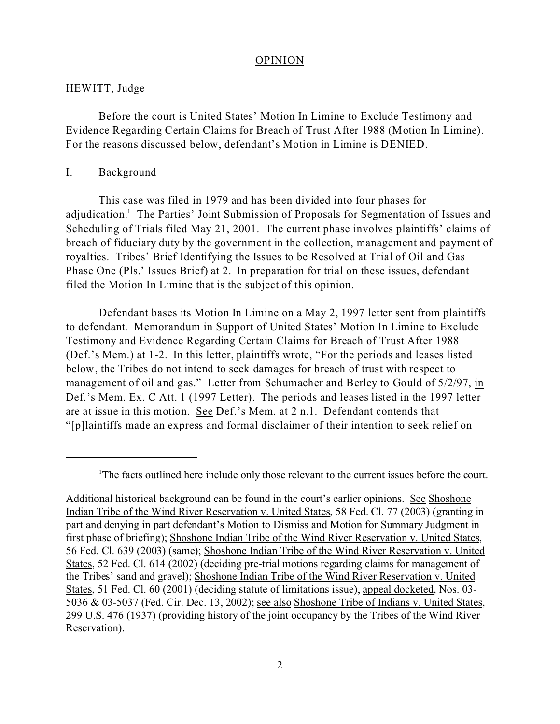#### OPINION

### HEWITT, Judge

Before the court is United States' Motion In Limine to Exclude Testimony and Evidence Regarding Certain Claims for Breach of Trust After 1988 (Motion In Limine). For the reasons discussed below, defendant's Motion in Limine is DENIED.

#### I. Background

This case was filed in 1979 and has been divided into four phases for adjudication.<sup>1</sup> The Parties' Joint Submission of Proposals for Segmentation of Issues and Scheduling of Trials filed May 21, 2001. The current phase involves plaintiffs' claims of breach of fiduciary duty by the government in the collection, management and payment of royalties. Tribes' Brief Identifying the Issues to be Resolved at Trial of Oil and Gas Phase One (Pls.' Issues Brief) at 2. In preparation for trial on these issues, defendant filed the Motion In Limine that is the subject of this opinion.

Defendant bases its Motion In Limine on a May 2, 1997 letter sent from plaintiffs to defendant. Memorandum in Support of United States' Motion In Limine to Exclude Testimony and Evidence Regarding Certain Claims for Breach of Trust After 1988 (Def.'s Mem.) at 1-2. In this letter, plaintiffs wrote, "For the periods and leases listed below, the Tribes do not intend to seek damages for breach of trust with respect to management of oil and gas." Letter from Schumacher and Berley to Gould of 5/2/97, in Def.'s Mem. Ex. C Att. 1 (1997 Letter). The periods and leases listed in the 1997 letter are at issue in this motion. See Def.'s Mem. at 2 n.1. Defendant contends that "[p]laintiffs made an express and formal disclaimer of their intention to seek relief on

<sup>&</sup>lt;sup>1</sup>The facts outlined here include only those relevant to the current issues before the court.

Additional historical background can be found in the court's earlier opinions. See Shoshone Indian Tribe of the Wind River Reservation v. United States, 58 Fed. Cl. 77 (2003) (granting in part and denying in part defendant's Motion to Dismiss and Motion for Summary Judgment in first phase of briefing); Shoshone Indian Tribe of the Wind River Reservation v. United States, 56 Fed. Cl. 639 (2003) (same); Shoshone Indian Tribe of the Wind River Reservation v. United States, 52 Fed. Cl. 614 (2002) (deciding pre-trial motions regarding claims for management of the Tribes' sand and gravel); Shoshone Indian Tribe of the Wind River Reservation v. United States, 51 Fed. Cl. 60 (2001) (deciding statute of limitations issue), appeal docketed, Nos. 03- 5036 & 03-5037 (Fed. Cir. Dec. 13, 2002); see also Shoshone Tribe of Indians v. United States, 299 U.S. 476 (1937) (providing history of the joint occupancy by the Tribes of the Wind River Reservation).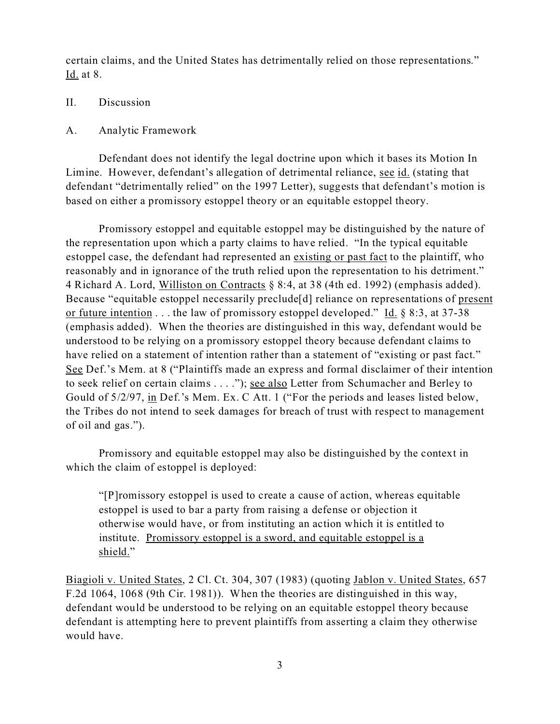certain claims, and the United States has detrimentally relied on those representations." Id. at 8.

## II. Discussion

## A. Analytic Framework

Defendant does not identify the legal doctrine upon which it bases its Motion In Limine. However, defendant's allegation of detrimental reliance, see id. (stating that defendant "detrimentally relied" on the 1997 Letter), suggests that defendant's motion is based on either a promissory estoppel theory or an equitable estoppel theory.

Promissory estoppel and equitable estoppel may be distinguished by the nature of the representation upon which a party claims to have relied. "In the typical equitable estoppel case, the defendant had represented an existing or past fact to the plaintiff, who reasonably and in ignorance of the truth relied upon the representation to his detriment." 4 Richard A. Lord, Williston on Contracts § 8:4, at 38 (4th ed. 1992) (emphasis added). Because "equitable estoppel necessarily preclude<sup>[d]</sup> reliance on representations of present or future intention . . . the law of promissory estoppel developed." Id. § 8:3, at 37-38 (emphasis added). When the theories are distinguished in this way, defendant would be understood to be relying on a promissory estoppel theory because defendant claims to have relied on a statement of intention rather than a statement of "existing or past fact." See Def.'s Mem. at 8 ("Plaintiffs made an express and formal disclaimer of their intention to seek relief on certain claims . . . ."); see also Letter from Schumacher and Berley to Gould of 5/2/97, in Def.'s Mem. Ex. C Att. 1 ("For the periods and leases listed below, the Tribes do not intend to seek damages for breach of trust with respect to management of oil and gas.").

Promissory and equitable estoppel may also be distinguished by the context in which the claim of estoppel is deployed:

"[P]romissory estoppel is used to create a cause of action, whereas equitable estoppel is used to bar a party from raising a defense or objection it otherwise would have, or from instituting an action which it is entitled to institute. Promissory estoppel is a sword, and equitable estoppel is a shield."

Biagioli v. United States, 2 Cl. Ct. 304, 307 (1983) (quoting Jablon v. United States, 657 F.2d 1064, 1068 (9th Cir. 1981)). When the theories are distinguished in this way, defendant would be understood to be relying on an equitable estoppel theory because defendant is attempting here to prevent plaintiffs from asserting a claim they otherwise would have.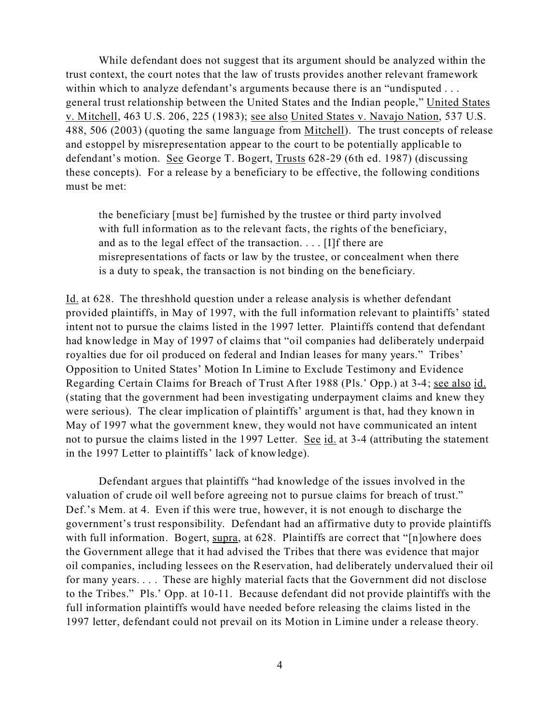While defendant does not suggest that its argument should be analyzed within the trust context, the court notes that the law of trusts provides another relevant framework within which to analyze defendant's arguments because there is an "undisputed ... general trust relationship between the United States and the Indian people," United States v. Mitchell, 463 U.S. 206, 225 (1983); see also United States v. Navajo Nation, 537 U.S. 488, 506 (2003) (quoting the same language from Mitchell). The trust concepts of release and estoppel by misrepresentation appear to the court to be potentially applicable to defendant's motion. See George T. Bogert, Trusts 628-29 (6th ed. 1987) (discussing these concepts). For a release by a beneficiary to be effective, the following conditions must be met:

the beneficiary [must be] furnished by the trustee or third party involved with full information as to the relevant facts, the rights of the beneficiary, and as to the legal effect of the transaction. . . . [I]f there are misrepresentations of facts or law by the trustee, or concealment when there is a duty to speak, the transaction is not binding on the beneficiary.

Id. at 628. The threshhold question under a release analysis is whether defendant provided plaintiffs, in May of 1997, with the full information relevant to plaintiffs' stated intent not to pursue the claims listed in the 1997 letter. Plaintiffs contend that defendant had knowledge in May of 1997 of claims that "oil companies had deliberately underpaid royalties due for oil produced on federal and Indian leases for many years." Tribes' Opposition to United States' Motion In Limine to Exclude Testimony and Evidence Regarding Certain Claims for Breach of Trust After 1988 (Pls.' Opp.) at 3-4; see also id. (stating that the government had been investigating underpayment claims and knew they were serious). The clear implication of plaintiffs' argument is that, had they known in May of 1997 what the government knew, they would not have communicated an intent not to pursue the claims listed in the 1997 Letter. See id. at 3-4 (attributing the statement in the 1997 Letter to plaintiffs' lack of knowledge).

Defendant argues that plaintiffs "had knowledge of the issues involved in the valuation of crude oil well before agreeing not to pursue claims for breach of trust." Def.'s Mem. at 4. Even if this were true, however, it is not enough to discharge the government's trust responsibility. Defendant had an affirmative duty to provide plaintiffs with full information. Bogert, supra, at 628. Plaintiffs are correct that "[n]owhere does the Government allege that it had advised the Tribes that there was evidence that major oil companies, including lessees on the Reservation, had deliberately undervalued their oil for many years. . . . These are highly material facts that the Government did not disclose to the Tribes." Pls.' Opp. at 10-11. Because defendant did not provide plaintiffs with the full information plaintiffs would have needed before releasing the claims listed in the 1997 letter, defendant could not prevail on its Motion in Limine under a release theory.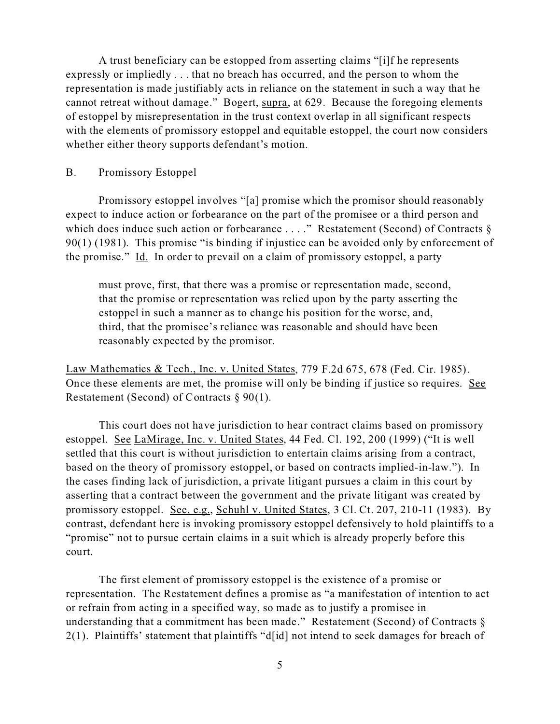A trust beneficiary can be estopped from asserting claims "[i]f he represents expressly or impliedly . . . that no breach has occurred, and the person to whom the representation is made justifiably acts in reliance on the statement in such a way that he cannot retreat without damage." Bogert, supra, at 629. Because the foregoing elements of estoppel by misrepresentation in the trust context overlap in all significant respects with the elements of promissory estoppel and equitable estoppel, the court now considers whether either theory supports defendant's motion.

#### B. Promissory Estoppel

Promissory estoppel involves "[a] promise which the promisor should reasonably expect to induce action or forbearance on the part of the promisee or a third person and which does induce such action or forbearance . . . ." Restatement (Second) of Contracts  $\S$ 90(1) (1981). This promise "is binding if injustice can be avoided only by enforcement of the promise." Id. In order to prevail on a claim of promissory estoppel, a party

must prove, first, that there was a promise or representation made, second, that the promise or representation was relied upon by the party asserting the estoppel in such a manner as to change his position for the worse, and, third, that the promisee's reliance was reasonable and should have been reasonably expected by the promisor.

Law Mathematics & Tech., Inc. v. United States, 779 F.2d 675, 678 (Fed. Cir. 1985). Once these elements are met, the promise will only be binding if justice so requires. See Restatement (Second) of Contracts § 90(1).

This court does not have jurisdiction to hear contract claims based on promissory estoppel. See LaMirage, Inc. v. United States, 44 Fed. Cl. 192, 200 (1999) ("It is well settled that this court is without jurisdiction to entertain claims arising from a contract, based on the theory of promissory estoppel, or based on contracts implied-in-law."). In the cases finding lack of jurisdiction, a private litigant pursues a claim in this court by asserting that a contract between the government and the private litigant was created by promissory estoppel. See, e.g., Schuhl v. United States, 3 Cl. Ct. 207, 210-11 (1983). By contrast, defendant here is invoking promissory estoppel defensively to hold plaintiffs to a "promise" not to pursue certain claims in a suit which is already properly before this court.

The first element of promissory estoppel is the existence of a promise or representation. The Restatement defines a promise as "a manifestation of intention to act or refrain from acting in a specified way, so made as to justify a promisee in understanding that a commitment has been made." Restatement (Second) of Contracts § 2(1). Plaintiffs' statement that plaintiffs "d[id] not intend to seek damages for breach of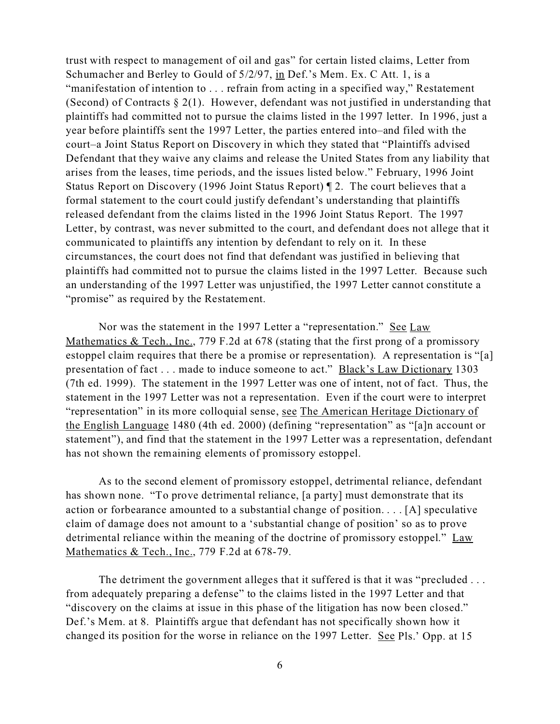trust with respect to management of oil and gas" for certain listed claims, Letter from Schumacher and Berley to Gould of 5/2/97, in Def.'s Mem. Ex. C Att. 1, is a "manifestation of intention to . . . refrain from acting in a specified way," Restatement (Second) of Contracts § 2(1). However, defendant was not justified in understanding that plaintiffs had committed not to pursue the claims listed in the 1997 letter. In 1996, just a year before plaintiffs sent the 1997 Letter, the parties entered into–and filed with the court–a Joint Status Report on Discovery in which they stated that "Plaintiffs advised Defendant that they waive any claims and release the United States from any liability that arises from the leases, time periods, and the issues listed below." February, 1996 Joint Status Report on Discovery (1996 Joint Status Report) ¶ 2. The court believes that a formal statement to the court could justify defendant's understanding that plaintiffs released defendant from the claims listed in the 1996 Joint Status Report. The 1997 Letter, by contrast, was never submitted to the court, and defendant does not allege that it communicated to plaintiffs any intention by defendant to rely on it. In these circumstances, the court does not find that defendant was justified in believing that plaintiffs had committed not to pursue the claims listed in the 1997 Letter. Because such an understanding of the 1997 Letter was unjustified, the 1997 Letter cannot constitute a "promise" as required by the Restatement.

Nor was the statement in the 1997 Letter a "representation." See Law Mathematics & Tech., Inc., 779 F.2d at 678 (stating that the first prong of a promissory estoppel claim requires that there be a promise or representation). A representation is "[a] presentation of fact . . . made to induce someone to act." Black's Law Dictionary 1303 (7th ed. 1999). The statement in the 1997 Letter was one of intent, not of fact. Thus, the statement in the 1997 Letter was not a representation. Even if the court were to interpret "representation" in its more colloquial sense, see The American Heritage Dictionary of the English Language 1480 (4th ed. 2000) (defining "representation" as "[a]n account or statement"), and find that the statement in the 1997 Letter was a representation, defendant has not shown the remaining elements of promissory estoppel.

As to the second element of promissory estoppel, detrimental reliance, defendant has shown none. "To prove detrimental reliance, [a party] must demonstrate that its action or forbearance amounted to a substantial change of position. . . . [A] speculative claim of damage does not amount to a 'substantial change of position' so as to prove detrimental reliance within the meaning of the doctrine of promissory estoppel." Law Mathematics & Tech., Inc., 779 F.2d at 678-79.

The detriment the government alleges that it suffered is that it was "precluded ... from adequately preparing a defense" to the claims listed in the 1997 Letter and that "discovery on the claims at issue in this phase of the litigation has now been closed." Def.'s Mem. at 8. Plaintiffs argue that defendant has not specifically shown how it changed its position for the worse in reliance on the 1997 Letter. See Pls.' Opp. at 15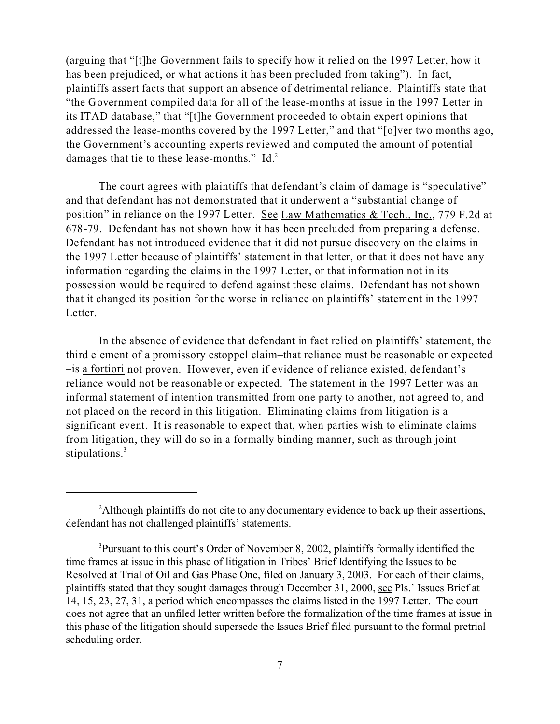(arguing that "[t]he Government fails to specify how it relied on the 1997 Letter, how it has been prejudiced, or what actions it has been precluded from taking"). In fact, plaintiffs assert facts that support an absence of detrimental reliance. Plaintiffs state that "the Government compiled data for all of the lease-months at issue in the 1997 Letter in its ITAD database," that "[t]he Government proceeded to obtain expert opinions that addressed the lease-months covered by the 1997 Letter," and that "[o]ver two months ago, the Government's accounting experts reviewed and computed the amount of potential damages that tie to these lease-months."  $\underline{Id.}^2$ 

The court agrees with plaintiffs that defendant's claim of damage is "speculative" and that defendant has not demonstrated that it underwent a "substantial change of position" in reliance on the 1997 Letter. See Law Mathematics & Tech., Inc., 779 F.2d at 678-79. Defendant has not shown how it has been precluded from preparing a defense. Defendant has not introduced evidence that it did not pursue discovery on the claims in the 1997 Letter because of plaintiffs' statement in that letter, or that it does not have any information regarding the claims in the 1997 Letter, or that information not in its possession would be required to defend against these claims. Defendant has not shown that it changed its position for the worse in reliance on plaintiffs' statement in the 1997 Letter.

In the absence of evidence that defendant in fact relied on plaintiffs' statement, the third element of a promissory estoppel claim–that reliance must be reasonable or expected –is a fortiori not proven. However, even if evidence of reliance existed, defendant's reliance would not be reasonable or expected. The statement in the 1997 Letter was an informal statement of intention transmitted from one party to another, not agreed to, and not placed on the record in this litigation. Eliminating claims from litigation is a significant event. It is reasonable to expect that, when parties wish to eliminate claims from litigation, they will do so in a formally binding manner, such as through joint stipulations.<sup>3</sup>

<sup>&</sup>lt;sup>2</sup>Although plaintiffs do not cite to any documentary evidence to back up their assertions, defendant has not challenged plaintiffs' statements.

<sup>&</sup>lt;sup>3</sup>Pursuant to this court's Order of November 8, 2002, plaintiffs formally identified the time frames at issue in this phase of litigation in Tribes' Brief Identifying the Issues to be Resolved at Trial of Oil and Gas Phase One, filed on January 3, 2003. For each of their claims, plaintiffs stated that they sought damages through December 31, 2000, see Pls.' Issues Brief at 14, 15, 23, 27, 31, a period which encompasses the claims listed in the 1997 Letter. The court does not agree that an unfiled letter written before the formalization of the time frames at issue in this phase of the litigation should supersede the Issues Brief filed pursuant to the formal pretrial scheduling order.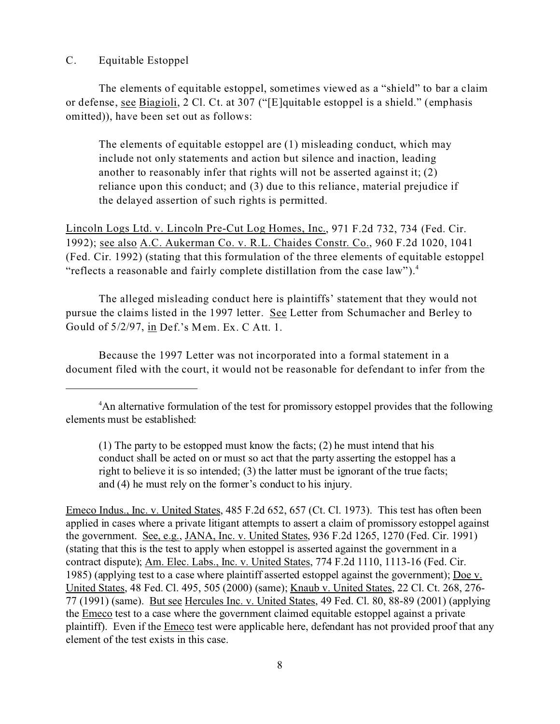# C. Equitable Estoppel

The elements of equitable estoppel, sometimes viewed as a "shield" to bar a claim or defense, see Biagioli, 2 Cl. Ct. at 307 ("[E]quitable estoppel is a shield." (emphasis omitted)), have been set out as follows:

The elements of equitable estoppel are (1) misleading conduct, which may include not only statements and action but silence and inaction, leading another to reasonably infer that rights will not be asserted against it; (2) reliance upon this conduct; and (3) due to this reliance, material prejudice if the delayed assertion of such rights is permitted.

Lincoln Logs Ltd. v. Lincoln Pre-Cut Log Homes, Inc., 971 F.2d 732, 734 (Fed. Cir. 1992); see also A.C. Aukerman Co. v. R.L. Chaides Constr. Co., 960 F.2d 1020, 1041 (Fed. Cir. 1992) (stating that this formulation of the three elements of equitable estoppel "reflects a reasonable and fairly complete distillation from the case law"). $4$ 

The alleged misleading conduct here is plaintiffs' statement that they would not pursue the claims listed in the 1997 letter. See Letter from Schumacher and Berley to Gould of 5/2/97, in Def.'s Mem. Ex. C Att. 1.

Because the 1997 Letter was not incorporated into a formal statement in a document filed with the court, it would not be reasonable for defendant to infer from the

Emeco Indus., Inc. v. United States, 485 F.2d 652, 657 (Ct. Cl. 1973). This test has often been applied in cases where a private litigant attempts to assert a claim of promissory estoppel against the government. See, e.g., JANA, Inc. v. United States, 936 F.2d 1265, 1270 (Fed. Cir. 1991) (stating that this is the test to apply when estoppel is asserted against the government in a contract dispute); Am. Elec. Labs., Inc. v. United States, 774 F.2d 1110, 1113-16 (Fed. Cir. 1985) (applying test to a case where plaintiff asserted estoppel against the government); Doe v. United States, 48 Fed. Cl. 495, 505 (2000) (same); Knaub v. United States, 22 Cl. Ct. 268, 276- 77 (1991) (same). But see Hercules Inc. v. United States, 49 Fed. Cl. 80, 88-89 (2001) (applying the Emeco test to a case where the government claimed equitable estoppel against a private plaintiff). Even if the **Emeco** test were applicable here, defendant has not provided proof that any element of the test exists in this case.

<sup>&</sup>lt;sup>4</sup>An alternative formulation of the test for promissory estoppel provides that the following elements must be established:

<sup>(1)</sup> The party to be estopped must know the facts; (2) he must intend that his conduct shall be acted on or must so act that the party asserting the estoppel has a right to believe it is so intended; (3) the latter must be ignorant of the true facts; and (4) he must rely on the former's conduct to his injury.